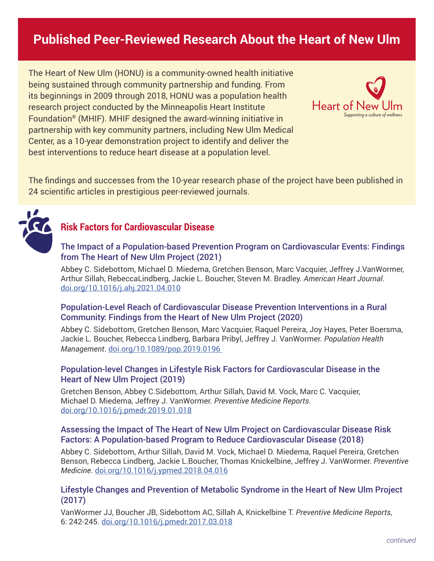# **Published Peer-Reviewed Research About the Heart of New Ulm**

The Heart of New Ulm (HONU) is a community-owned health initiative being sustained through community partnership and funding. From its beginnings in 2009 through 2018, HONU was a population health research project conducted by the Minneapolis Heart Institute Foundation® (MHIF). MHIF designed the award-winning initiative in partnership with key community partners, including New Ulm Medical Center, as a 10-year demonstration project to identify and deliver the best interventions to reduce heart disease at a population level.



The findings and successes from the 10-year research phase of the project have been published in 24 scientific articles in prestigious peer-reviewed journals.



# **Risk Factors for Cardiovascular Disease**

#### The Impact of a Population-based Prevention Program on Cardiovascular Events: Findings from The Heart of New Ulm Project (2021)

Abbey C. Sidebottom, Michael D. Miedema, Gretchen Benson, Marc Vacquier, Jeffrey J.VanWormer, Arthur Sillah, RebeccaLindberg, Jackie L. Boucher, Steven M. Bradley. *American Heart Journal*. [doi.org/10.1016/j.ahj.2021.04.010](https://doi.org/10.1016/j.ahj.2021.04.010) 

### Population-Level Reach of Cardiovascular Disease Prevention Interventions in a Rural Community: Findings from the Heart of New Ulm Project (2020)

Abbey C. Sidebottom, Gretchen Benson, Marc Vacquier, Raquel Pereira, Joy Hayes, Peter Boersma, Jackie L. Boucher, Rebecca Lindberg, Barbara Pribyl, Jeffrey J. VanWormer. *Population Health Management*. [doi.org/10.1089/pop.2019.0196](http://doi.org/10.1089/pop.2019.0196) 

### Population-level Changes in Lifestyle Risk Factors for Cardiovascular Disease in the Heart of New Ulm Project (2019)

Gretchen Benson, Abbey C.Sidebottom, Arthur Sillah, David M. Vock, Marc C. Vacquier, Michael D. Miedema, Jeffrey J. VanWormer. *Preventive Medicine Reports*. [doi.org/10.1016/j.pmedr.2019.01.018](https://doi.org/10.1016/j.pmedr.2019.01.018)

### Assessing the Impact of The Heart of New Ulm Project on Cardiovascular Disease Risk Factors: A Population-based Program to Reduce Cardiovascular Disease (2018)

Abbey C. Sidebottom, Arthur Sillah, David M. Vock, Michael D. Miedema, Raquel Pereira, Gretchen Benson, Rebecca Lindberg, Jackie L.Boucher, Thomas Knickelbine, Jeffrey J. VanWormer. *Preventive Medicine*. [doi.org/10.1016/j.ypmed.2018.04.016](https://doi.org/10.1016/j.ypmed.2018.04.016)

# Lifestyle Changes and Prevention of Metabolic Syndrome in the Heart of New Ulm Project (2017)

VanWormer JJ, Boucher JB, Sidebottom AC, Sillah A, Knickelbine T. *Preventive Medicine Reports*, 6: 242-245. [doi.org/10.1016/j.pmedr.2017.03.018](https://doi.org/10.1016/j.pmedr.2017.03.018)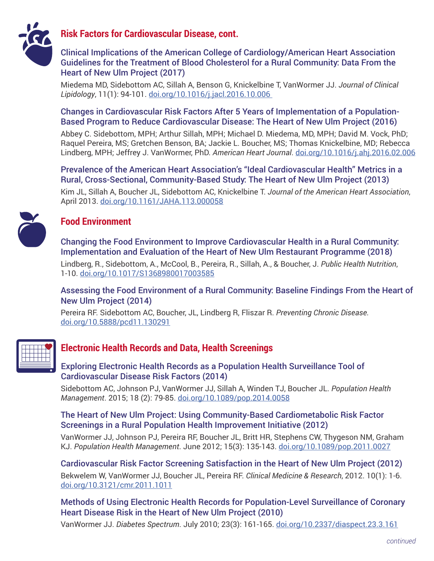

# **Risk Factors for Cardiovascular Disease, cont.**

# Clinical Implications of the American College of Cardiology/American Heart Association Guidelines for the Treatment of Blood Cholesterol for a Rural Community: Data From the Heart of New Ulm Project (2017)

Miedema MD, Sidebottom AC, Sillah A, Benson G, Knickelbine T, VanWormer JJ. *Journal of Clinical Lipidology*, 11(1): 94-101. [doi.org/10.1016/j.jacl.2016.10.006](https://doi.org/10.1016/j.jacl.2016.10.006)

### Changes in Cardiovascular Risk Factors After 5 Years of Implementation of a Population-Based Program to Reduce Cardiovascular Disease: The Heart of New Ulm Project (2016)

Abbey C. Sidebottom, MPH; Arthur Sillah, MPH; Michael D. Miedema, MD, MPH; David M. Vock, PhD; Raquel Pereira, MS; Gretchen Benson, BA; Jackie L. Boucher, MS; Thomas Knickelbine, MD; Rebecca Lindberg, MPH; Jeffrey J. VanWormer, PhD. *American Heart Journal*. [doi.org/10.1016/j.ahj.2016.02.006](https://doi.org/10.1016/j.ahj.2016.02.006)

Prevalence of the American Heart Association's "Ideal Cardiovascular Health" Metrics in a Rural, Cross-Sectional, Community-Based Study: The Heart of New Ulm Project (2013)

Kim JL, Sillah A, Boucher JL, Sidebottom AC, Knickelbine T. *Journal of the American Heart Association*, April 2013. [doi.org/10.1161/JAHA.113.000058](https://doi.org/10.1161/JAHA.113.000058)

# **Food Environment**

Changing the Food Environment to Improve Cardiovascular Health in a Rural Community: Implementation and Evaluation of the Heart of New Ulm Restaurant Programme (2018)

Lindberg, R., Sidebottom, A., McCool, B., Pereira, R., Sillah, A., & Boucher, J. *Public Health Nutrition*, 1-10. [doi.org/10.1017/S1368980017003585](https://doi.org/10.1017/S1368980017003585)

# Assessing the Food Environment of a Rural Community: Baseline Findings From the Heart of New Ulm Project (2014)

Pereira RF. Sidebottom AC, Boucher, JL, Lindberg R, Fliszar R. *Preventing Chronic Disease.* [doi.org/10.5888/pcd11.130291](https://doi.org/10.5888/pcd11.130291)



# **Electronic Health Records and Data, Health Screenings**

Exploring Electronic Health Records as a Population Health Surveillance Tool of Cardiovascular Disease Risk Factors (2014)

Sidebottom AC, Johnson PJ, VanWormer JJ, Sillah A, Winden TJ, Boucher JL. *Population Health Management*. 2015; 18 (2): 79-85. [doi.org/10.1089/pop.2014.0058](https://doi.org/10.1089/pop.2014.0058)

### The Heart of New Ulm Project: Using Community-Based Cardiometabolic Risk Factor Screenings in a Rural Population Health Improvement Initiative (2012)

VanWormer JJ, Johnson PJ, Pereira RF, Boucher JL, Britt HR, Stephens CW, Thygeson NM, Graham KJ. *Population Health Management*. June 2012; 15(3): 135-143. [doi.org/10.1089/pop.2011.0027](https://doi.org/10.1089/pop.2011.0027)

Cardiovascular Risk Factor Screening Satisfaction in the Heart of New Ulm Project (2012) Bekwelem W, VanWormer JJ, Boucher JL, Pereira RF. *Clinical Medicine & Research*, 2012. 10(1): 1-6. [doi.org/10.3121/cmr.2011.1011](https://doi.org/10.3121/cmr.2011.1011)

Methods of Using Electronic Health Records for Population-Level Surveillance of Coronary Heart Disease Risk in the Heart of New Ulm Project (2010)

VanWormer JJ. *Diabetes Spectrum*. July 2010; 23(3): 161-165. [doi.org/10.2337/diaspect.23.3.161](https://doi.org/10.2337/diaspect.23.3.161)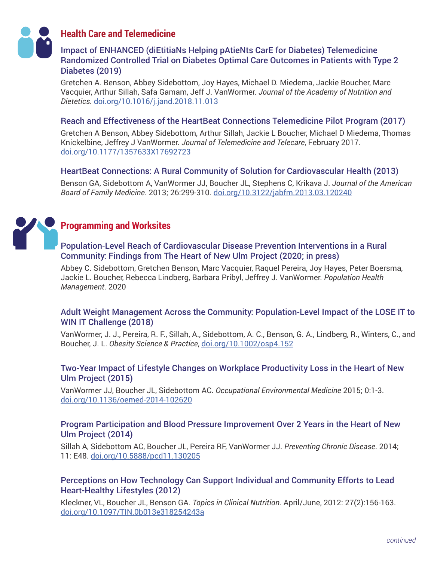

# **Health Care and Telemedicine**

# Impact of ENHANCED (diEtitiaNs Helping pAtieNts CarE for Diabetes) Telemedicine Randomized Controlled Trial on Diabetes Optimal Care Outcomes in Patients with Type 2 Diabetes (2019)

Gretchen A. Benson, Abbey Sidebottom, Joy Hayes, Michael D. Miedema, Jackie Boucher, Marc Vacquier, Arthur Sillah, Safa Gamam, Jeff J. VanWormer. *Journal of the Academy of Nutrition and Dietetics.* [doi.org/10.1016/j.jand.2018.11.013](http:// doi.org/10.1016/j.jand.2018.11.013)

### Reach and Effectiveness of the HeartBeat Connections Telemedicine Pilot Program (2017)

Gretchen A Benson, Abbey Sidebottom, Arthur Sillah, Jackie L Boucher, Michael D Miedema, Thomas Knickelbine, Jeffrey J VanWormer. *Journal of Telemedicine and Telecare*, February 2017. [doi.org/10.1177/1357633X17692723](https://doi.org/10.1177/1357633X17692723)

# HeartBeat Connections: A Rural Community of Solution for Cardiovascular Health (2013)

Benson GA, Sidebottom A, VanWormer JJ, Boucher JL, Stephens C, Krikava J. *Journal of the American Board of Family Medicine*. 2013; 26:299-310. [doi.org/10.3122/jabfm.2013.03.120240](https://doi.org/10.3122/jabfm.2013.03.120240)



# **Programming and Worksites**

# Population-Level Reach of Cardiovascular Disease Prevention Interventions in a Rural Community: Findings from The Heart of New Ulm Project (2020; in press)

Abbey C. Sidebottom, Gretchen Benson, Marc Vacquier, Raquel Pereira, Joy Hayes, Peter Boersma, Jackie L. Boucher, Rebecca Lindberg, Barbara Pribyl, Jeffrey J. VanWormer. *Population Health Management*. 2020

# Adult Weight Management Across the Community: Population-Level Impact of the LOSE IT to WIN IT Challenge (2018)

VanWormer, J. J., Pereira, R. F., Sillah, A., Sidebottom, A. C., Benson, G. A., Lindberg, R., Winters, C., and Boucher, J. L. *Obesity Science & Practice*, [doi.org/10.1002/osp4.152](https://doi.org/10.1002/osp4.152)

# Two-Year Impact of Lifestyle Changes on Workplace Productivity Loss in the Heart of New Ulm Project (2015)

VanWormer JJ, Boucher JL, Sidebottom AC. *Occupational Environmental Medicine* 2015; 0:1-3. [doi.org/10.1136/oemed-2014-102620](https://doi.org/10.1136/oemed-2014-102620)

# Program Participation and Blood Pressure Improvement Over 2 Years in the Heart of New Ulm Project (2014)

Sillah A, Sidebottom AC, Boucher JL, Pereira RF, VanWormer JJ. *Preventing Chronic Disease*. 2014; 11: E48. [doi.org/10.5888/pcd11.130205](https://doi.org/10.5888/pcd11.130205)

# Perceptions on How Technology Can Support Individual and Community Efforts to Lead Heart-Healthy Lifestyles (2012)

Kleckner, VL, Boucher JL, Benson GA. *Topics in Clinical Nutrition*. April/June, 2012: 27(2):156-163. [doi.org/10.1097/TIN.0b013e318254243a](https://doi.org/10.1097/TIN.0b013e318254243a)